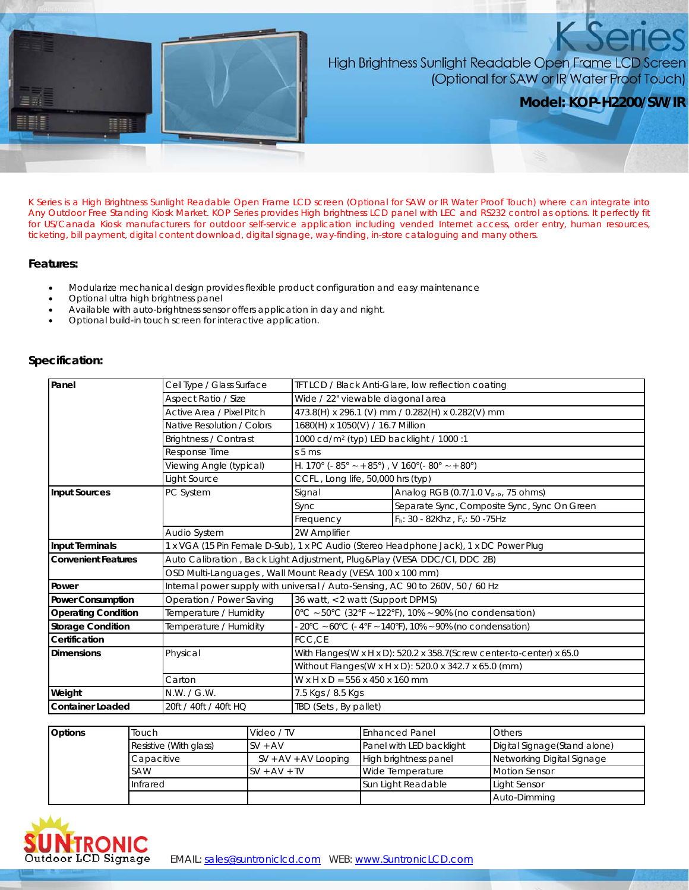

## High Brightness Sunlight Readable Open Frame LCD Screen (Optional for SAW or IR Water Proof Touch)

**Model: KOP-H2200/SW/IR**

K Series is a High Brightness Sunlight Readable Open Frame LCD screen (Optional for SAW or IR Water Proof Touch) where can integrate into Any Outdoor Free Standing Kiosk Market. KOP Series provides High brightness LCD panel with LEC and RS232 control as options. It perfectly fit for US/Canada Kiosk manufacturers for outdoor self-service application including vended Internet access, order entry, human resources, ticketing, bill payment, digital content download, digital signage, way-finding, in-store cataloguing and many others.

## **Features:**

- Modularize mechanical design provides flexible product configuration and easy maintenance
- Optional ultra high brightness panel
- Available with auto-brightness sensor offers application in day and night.
- Optional build-in touch screen for interactive application.

## **Specification:**

| Panel                      | Cell Type / Glass Surface                                                              | TFT LCD / Black Anti-Glare, low reflection coating                |                                                                                                                                |  |  |
|----------------------------|----------------------------------------------------------------------------------------|-------------------------------------------------------------------|--------------------------------------------------------------------------------------------------------------------------------|--|--|
|                            | Aspect Ratio / Size                                                                    | Wide / 22" viewable diagonal area                                 |                                                                                                                                |  |  |
|                            | Active Area / Pixel Pitch                                                              |                                                                   | 473.8(H) x 296.1 (V) mm / 0.282(H) x 0.282(V) mm                                                                               |  |  |
|                            | Native Resolution / Colors                                                             |                                                                   | 1680(H) x 1050(V) / 16.7 Million                                                                                               |  |  |
|                            | <b>Brightness / Contrast</b>                                                           | 1000 cd/m <sup>2</sup> (typ) LED backlight / 1000 :1              |                                                                                                                                |  |  |
|                            | Response Time                                                                          | $s5$ ms                                                           |                                                                                                                                |  |  |
|                            | Viewing Angle (typical)                                                                | H. 170° (- 85° ~ + 85°), V 160° (- 80° ~ + 80°)                   |                                                                                                                                |  |  |
|                            | Light Source                                                                           | CCFL, Long life, 50,000 hrs (typ)                                 |                                                                                                                                |  |  |
| Input Sources              | PC System                                                                              | Signal                                                            | Analog RGB (0.7/1.0 V <sub>p.p</sub> , 75 ohms)                                                                                |  |  |
|                            |                                                                                        | Sync                                                              | Separate Sync, Composite Sync, Sync On Green                                                                                   |  |  |
|                            |                                                                                        | Frequency                                                         | Fh: 30 - 82Khz, Fv: 50 - 75Hz                                                                                                  |  |  |
|                            | Audio System                                                                           | 2W Amplifier                                                      |                                                                                                                                |  |  |
| <b>Input Terminals</b>     | 1 x VGA (15 Pin Female D-Sub), 1 x PC Audio (Stereo Headphone Jack), 1 x DC Power Plug |                                                                   |                                                                                                                                |  |  |
| <b>Convenient Features</b> | Auto Calibration, Back Light Adjustment, Plug&Play (VESA DDC/CI, DDC 2B)               |                                                                   |                                                                                                                                |  |  |
|                            | OSD Multi-Languages, Wall Mount Ready (VESA 100 x 100 mm)                              |                                                                   |                                                                                                                                |  |  |
| Power                      | Internal power supply with universal / Auto-Sensing, AC 90 to 260V, 50 / 60 Hz         |                                                                   |                                                                                                                                |  |  |
| <b>Power Consumption</b>   | Operation / Power Saving                                                               |                                                                   | 36 watt, < 2 watt (Support DPMS)                                                                                               |  |  |
| <b>Operating Condition</b> | Temperature / Humidity                                                                 |                                                                   | $0^{\circ}$ C ~ 50°C (32°F ~ 122°F), 10% ~ 90% (no condensation)                                                               |  |  |
| <b>Storage Condition</b>   | Temperature / Humidity                                                                 | $20^{\circ}$ C ~ 60°C (-4°F ~ 140°F), 10% ~ 90% (no condensation) |                                                                                                                                |  |  |
| Certification              |                                                                                        | FCC,CE                                                            |                                                                                                                                |  |  |
| Dimensions                 | Physical                                                                               |                                                                   | With Flanges(W x H x D): 520.2 x 358.7(Screw center-to-center) x 65.0<br>Without Flanges(W x H x D): 520.0 x 342.7 x 65.0 (mm) |  |  |
|                            |                                                                                        |                                                                   |                                                                                                                                |  |  |
|                            | Carton                                                                                 |                                                                   | W x H x D = 556 x 450 x 160 mm                                                                                                 |  |  |
| Weight                     | N.W. / G.W.                                                                            | 7.5 Kgs / 8.5 Kgs                                                 |                                                                                                                                |  |  |
| <b>Container Loaded</b>    | 20ft / 40ft / 40ft HQ                                                                  | TBD (Sets, By pallet)                                             |                                                                                                                                |  |  |

| <b>Options</b> | Touch                  | Video / TV             | <b>Enhanced Panel</b>    | <b>Others</b>                 |
|----------------|------------------------|------------------------|--------------------------|-------------------------------|
|                | Resistive (With glass) | $SV + AV$              | Panel with LED backlight | Digital Signage (Stand alone) |
|                | Capacitive             | $SV + AV + AV$ Looping | High brightness panel    | Networking Digital Signage    |
|                | <b>SAW</b>             | $SV + AV + TV$         | Wide Temperature         | Motion Sensor                 |
|                | Infrared               |                        | Sun Light Readable       | Light Sensor                  |
|                |                        |                        |                          | Auto-Dimming                  |